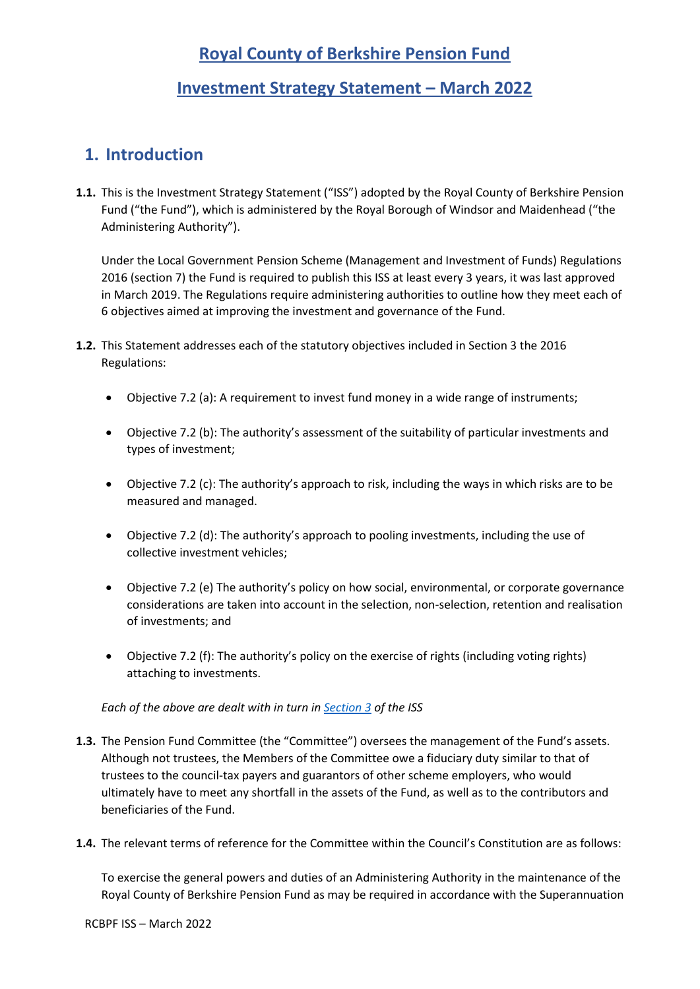# **Royal County of Berkshire Pension Fund**

# **Investment Strategy Statement – March 2022**

# **1. Introduction**

**1.1.** This is the Investment Strategy Statement ("ISS") adopted by the Royal County of Berkshire Pension Fund ("the Fund"), which is administered by the Royal Borough of Windsor and Maidenhead ("the Administering Authority").

Under the Local Government Pension Scheme (Management and Investment of Funds) Regulations 2016 (section 7) the Fund is required to publish this ISS at least every 3 years, it was last approved in March 2019. The Regulations require administering authorities to outline how they meet each of 6 objectives aimed at improving the investment and governance of the Fund.

- **1.2.** This Statement addresses each of the statutory objectives included in Section 3 the 2016 Regulations:
	- Objective 7.2 (a): A requirement to invest fund money in a wide range of instruments;
	- Objective 7.2 (b): The authority's assessment of the suitability of particular investments and types of investment;
	- Objective 7.2 (c): The authority's approach to risk, including the ways in which risks are to be measured and managed.
	- Objective 7.2 (d): The authority's approach to pooling investments, including the use of collective investment vehicles;
	- Objective 7.2 (e) The authority's policy on how social, environmental, or corporate governance considerations are taken into account in the selection, non-selection, retention and realisation of investments; and
	- Objective 7.2 (f): The authority's policy on the exercise of rights (including voting rights) attaching to investments.

### *Each of the above are dealt with in turn i[n Section 3](#page-4-0) of the ISS*

- **1.3.** The Pension Fund Committee (the "Committee") oversees the management of the Fund's assets. Although not trustees, the Members of the Committee owe a fiduciary duty similar to that of trustees to the council-tax payers and guarantors of other scheme employers, who would ultimately have to meet any shortfall in the assets of the Fund, as well as to the contributors and beneficiaries of the Fund.
- **1.4.** The relevant terms of reference for the Committee within the Council's Constitution are as follows:

To exercise the general powers and duties of an Administering Authority in the maintenance of the Royal County of Berkshire Pension Fund as may be required in accordance with the Superannuation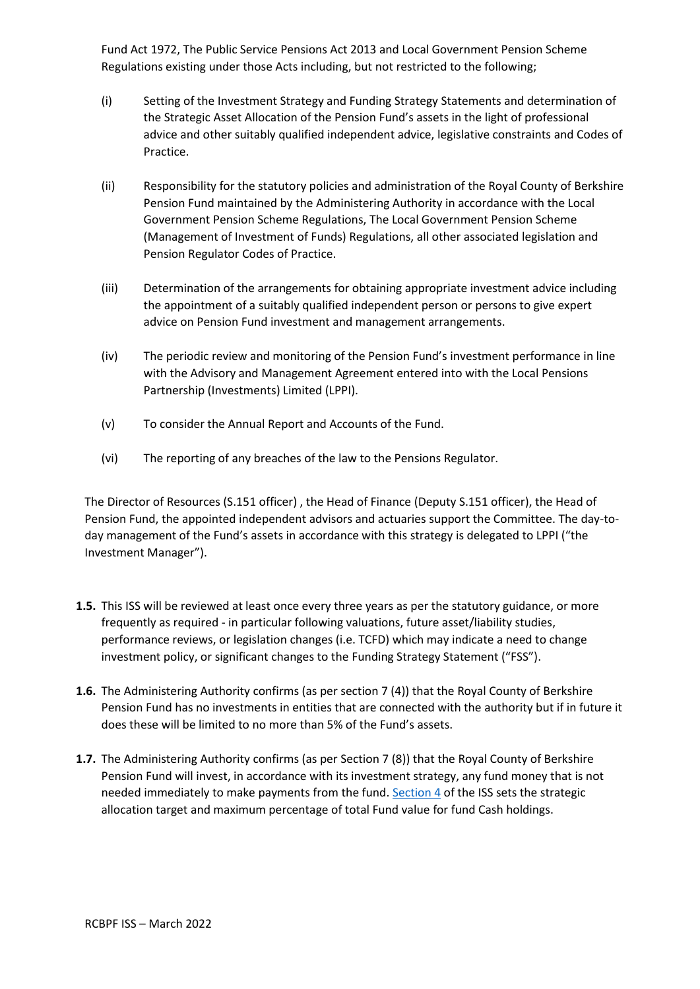Fund Act 1972, The Public Service Pensions Act 2013 and Local Government Pension Scheme Regulations existing under those Acts including, but not restricted to the following;

- (i) Setting of the Investment Strategy and Funding Strategy Statements and determination of the Strategic Asset Allocation of the Pension Fund's assets in the light of professional advice and other suitably qualified independent advice, legislative constraints and Codes of Practice.
- (ii) Responsibility for the statutory policies and administration of the Royal County of Berkshire Pension Fund maintained by the Administering Authority in accordance with the Local Government Pension Scheme Regulations, The Local Government Pension Scheme (Management of Investment of Funds) Regulations, all other associated legislation and Pension Regulator Codes of Practice.
- (iii) Determination of the arrangements for obtaining appropriate investment advice including the appointment of a suitably qualified independent person or persons to give expert advice on Pension Fund investment and management arrangements.
- (iv) The periodic review and monitoring of the Pension Fund's investment performance in line with the Advisory and Management Agreement entered into with the Local Pensions Partnership (Investments) Limited (LPPI).
- (v) To consider the Annual Report and Accounts of the Fund.
- (vi) The reporting of any breaches of the law to the Pensions Regulator.

The Director of Resources (S.151 officer) , the Head of Finance (Deputy S.151 officer), the Head of Pension Fund, the appointed independent advisors and actuaries support the Committee. The day-today management of the Fund's assets in accordance with this strategy is delegated to LPPI ("the Investment Manager").

- **1.5.** This ISS will be reviewed at least once every three years as per the statutory guidance, or more frequently as required - in particular following valuations, future asset/liability studies, performance reviews, or legislation changes (i.e. TCFD) which may indicate a need to change investment policy, or significant changes to the Funding Strategy Statement ("FSS").
- **1.6.** The Administering Authority confirms (as per section 7 (4)) that the Royal County of Berkshire Pension Fund has no investments in entities that are connected with the authority but if in future it does these will be limited to no more than 5% of the Fund's assets.
- **1.7.** The Administering Authority confirms (as per Section 7 (8)) that the Royal County of Berkshire Pension Fund will invest, in accordance with its investment strategy, any fund money that is not needed immediately to make payments from the fund. [Section 4](#page-11-0) of the ISS sets the strategic allocation target and maximum percentage of total Fund value for fund Cash holdings.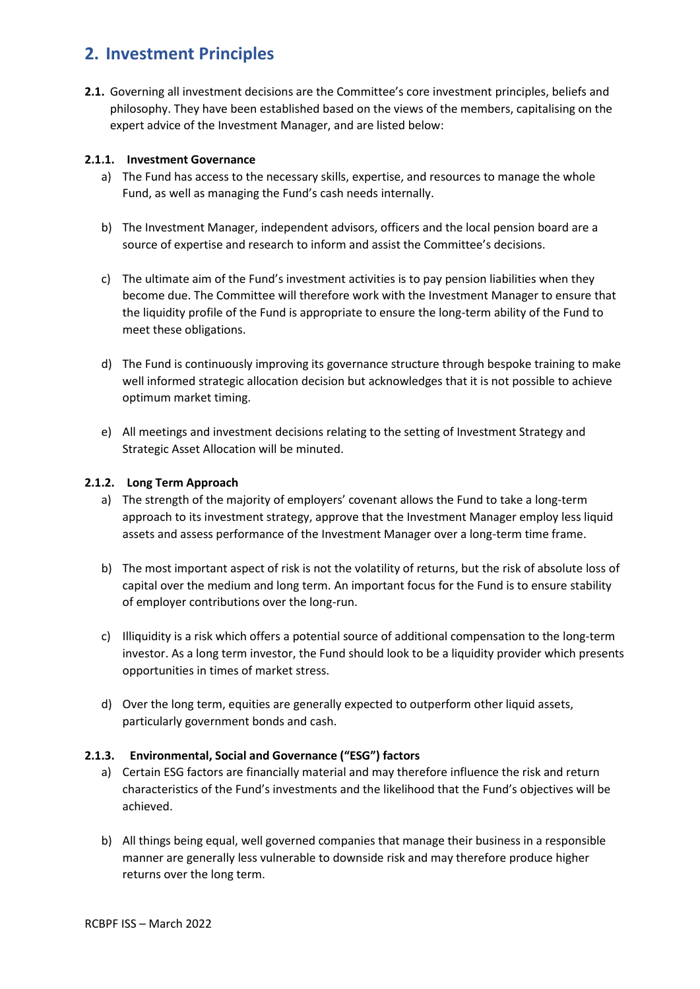# **2. Investment Principles**

**2.1.** Governing all investment decisions are the Committee's core investment principles, beliefs and philosophy. They have been established based on the views of the members, capitalising on the expert advice of the Investment Manager, and are listed below:

### **2.1.1. Investment Governance**

- a) The Fund has access to the necessary skills, expertise, and resources to manage the whole Fund, as well as managing the Fund's cash needs internally.
- b) The Investment Manager, independent advisors, officers and the local pension board are a source of expertise and research to inform and assist the Committee's decisions.
- c) The ultimate aim of the Fund's investment activities is to pay pension liabilities when they become due. The Committee will therefore work with the Investment Manager to ensure that the liquidity profile of the Fund is appropriate to ensure the long-term ability of the Fund to meet these obligations.
- d) The Fund is continuously improving its governance structure through bespoke training to make well informed strategic allocation decision but acknowledges that it is not possible to achieve optimum market timing.
- e) All meetings and investment decisions relating to the setting of Investment Strategy and Strategic Asset Allocation will be minuted.

### **2.1.2. Long Term Approach**

- a) The strength of the majority of employers' covenant allows the Fund to take a long-term approach to its investment strategy, approve that the Investment Manager employ less liquid assets and assess performance of the Investment Manager over a long-term time frame.
- b) The most important aspect of risk is not the volatility of returns, but the risk of absolute loss of capital over the medium and long term. An important focus for the Fund is to ensure stability of employer contributions over the long-run.
- c) Illiquidity is a risk which offers a potential source of additional compensation to the long-term investor. As a long term investor, the Fund should look to be a liquidity provider which presents opportunities in times of market stress.
- d) Over the long term, equities are generally expected to outperform other liquid assets, particularly government bonds and cash.

#### **2.1.3. Environmental, Social and Governance ("ESG") factors**

- a) Certain ESG factors are financially material and may therefore influence the risk and return characteristics of the Fund's investments and the likelihood that the Fund's objectives will be achieved.
- b) All things being equal, well governed companies that manage their business in a responsible manner are generally less vulnerable to downside risk and may therefore produce higher returns over the long term.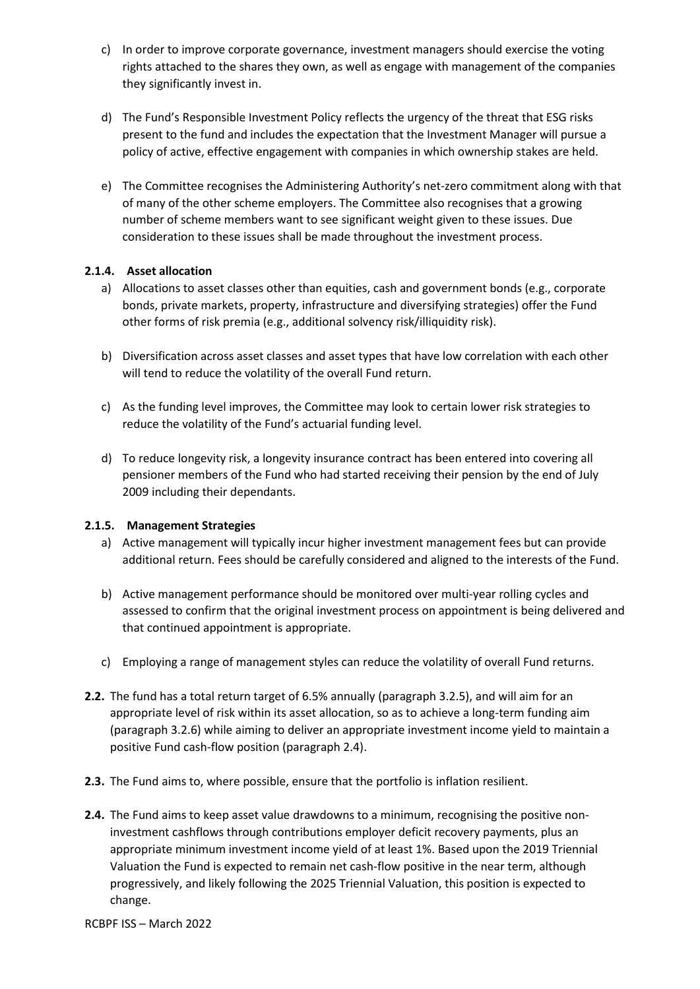- c) In order to improve corporate governance, investment managers should exercise the voting rights attached to the shares they own, as well as engage with management of the companies they significantly invest in.
- d) The Fund's Responsible Investment Policy reflects the urgency of the threat that ESG risks present to the fund and includes the expectation that the Investment Manager will pursue a policy of active, effective engagement with companies in which ownership stakes are held.
- e) The Committee recognises the Administering Authority's net-zero commitment along with that of many of the other scheme employers. The Committee also recognises that a growing number of scheme members want to see significant weight given to these issues. Due consideration to these issues shall be made throughout the investment process.

### **2.1.4. Asset allocation**

- a) Allocations to asset classes other than equities, cash and government bonds (e.g., corporate bonds, private markets, property, infrastructure and diversifying strategies) offer the Fund other forms of risk premia (e.g., additional solvency risk/illiquidity risk).
- b) Diversification across asset classes and asset types that have low correlation with each other will tend to reduce the volatility of the overall Fund return.
- c) As the funding level improves, the Committee may look to certain lower risk strategies to reduce the volatility of the Fund's actuarial funding level.
- d) To reduce longevity risk, a longevity insurance contract has been entered into covering all pensioner members of the Fund who had started receiving their pension by the end of July 2009 including their dependants.

#### **2.1.5. Management Strategies**

- a) Active management will typically incur higher investment management fees but can provide additional return. Fees should be carefully considered and aligned to the interests of the Fund.
- b) Active management performance should be monitored over multi-year rolling cycles and assessed to confirm that the original investment process on appointment is being delivered and that continued appointment is appropriate.
- c) Employing a range of management styles can reduce the volatility of overall Fund returns.
- **2.2.** The fund has a total return target of 6.5% annually (paragraph 3.2.5), and will aim for an appropriate level of risk within its asset allocation, so as to achieve a long-term funding aim (paragraph 3.2.6) while aiming to deliver an appropriate investment income yield to maintain a positive Fund cash-flow position (paragraph 2.4).
- **2.3.** The Fund aims to, where possible, ensure that the portfolio is inflation resilient.
- **2.4.** The Fund aims to keep asset value drawdowns to a minimum, recognising the positive noninvestment cashflows through contributions employer deficit recovery payments, plus an appropriate minimum investment income yield of at least 1%. Based upon the 2019 Triennial Valuation the Fund is expected to remain net cash-flow positive in the near term, although progressively, and likely following the 2025 Triennial Valuation, this position is expected to change.

RCBPF ISS – March 2022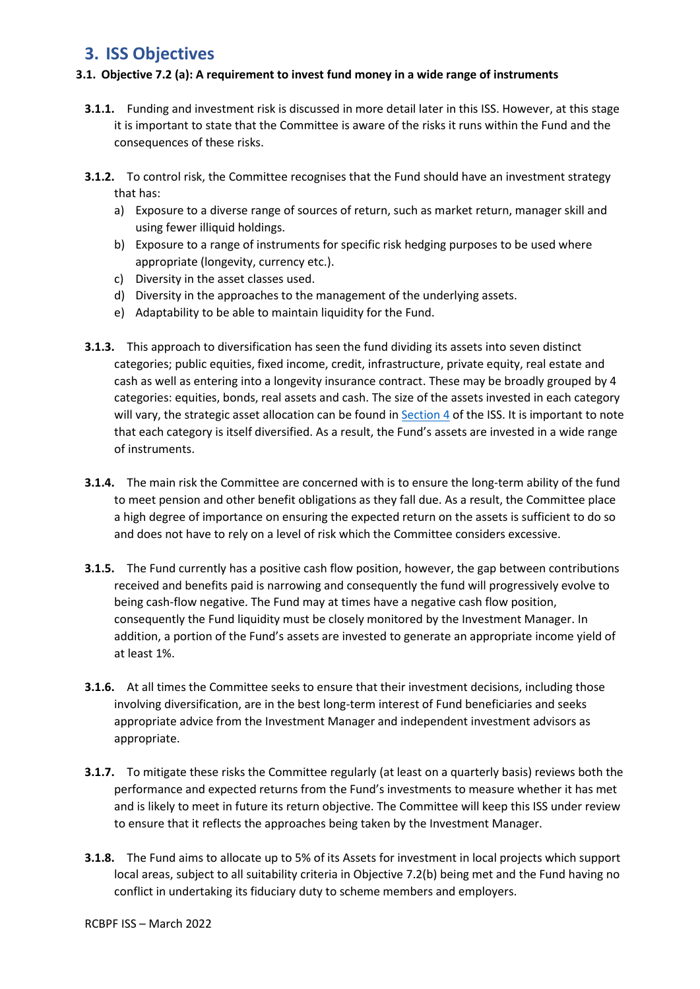# <span id="page-4-0"></span>**3. ISS Objectives**

## **3.1. Objective 7.2 (a): A requirement to invest fund money in a wide range of instruments**

- **3.1.1.** Funding and investment risk is discussed in more detail later in this ISS. However, at this stage it is important to state that the Committee is aware of the risks it runs within the Fund and the consequences of these risks.
- **3.1.2.** To control risk, the Committee recognises that the Fund should have an investment strategy that has:
	- a) Exposure to a diverse range of sources of return, such as market return, manager skill and using fewer illiquid holdings.
	- b) Exposure to a range of instruments for specific risk hedging purposes to be used where appropriate (longevity, currency etc.).
	- c) Diversity in the asset classes used.
	- d) Diversity in the approaches to the management of the underlying assets.
	- e) Adaptability to be able to maintain liquidity for the Fund.
- **3.1.3.** This approach to diversification has seen the fund dividing its assets into seven distinct categories; public equities, fixed income, credit, infrastructure, private equity, real estate and cash as well as entering into a longevity insurance contract. These may be broadly grouped by 4 categories: equities, bonds, real assets and cash. The size of the assets invested in each category will vary, the strategic asset allocation can be found in [Section 4](#page-11-0) of the ISS. It is important to note that each category is itself diversified. As a result, the Fund's assets are invested in a wide range of instruments.
- **3.1.4.** The main risk the Committee are concerned with is to ensure the long-term ability of the fund to meet pension and other benefit obligations as they fall due. As a result, the Committee place a high degree of importance on ensuring the expected return on the assets is sufficient to do so and does not have to rely on a level of risk which the Committee considers excessive.
- **3.1.5.** The Fund currently has a positive cash flow position, however, the gap between contributions received and benefits paid is narrowing and consequently the fund will progressively evolve to being cash-flow negative. The Fund may at times have a negative cash flow position, consequently the Fund liquidity must be closely monitored by the Investment Manager. In addition, a portion of the Fund's assets are invested to generate an appropriate income yield of at least 1%.
- **3.1.6.** At all times the Committee seeks to ensure that their investment decisions, including those involving diversification, are in the best long-term interest of Fund beneficiaries and seeks appropriate advice from the Investment Manager and independent investment advisors as appropriate.
- **3.1.7.** To mitigate these risks the Committee regularly (at least on a quarterly basis) reviews both the performance and expected returns from the Fund's investments to measure whether it has met and is likely to meet in future its return objective. The Committee will keep this ISS under review to ensure that it reflects the approaches being taken by the Investment Manager.
- **3.1.8.** The Fund aims to allocate up to 5% of its Assets for investment in local projects which support local areas, subject to all suitability criteria in Objective 7.2(b) being met and the Fund having no conflict in undertaking its fiduciary duty to scheme members and employers.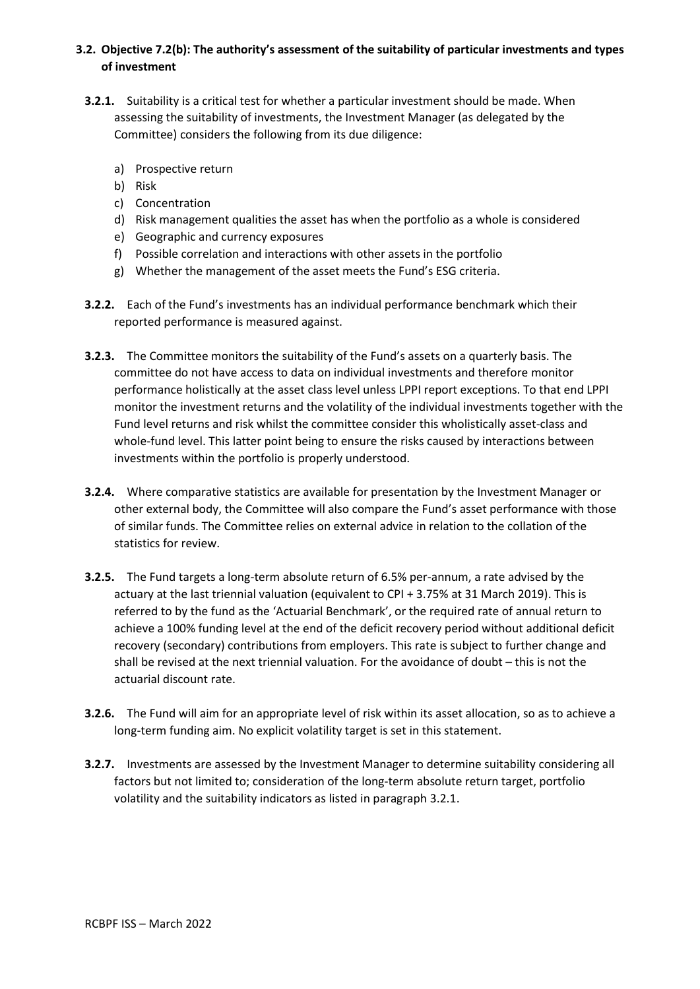## **3.2. Objective 7.2(b): The authority's assessment of the suitability of particular investments and types of investment**

- **3.2.1.** Suitability is a critical test for whether a particular investment should be made. When assessing the suitability of investments, the Investment Manager (as delegated by the Committee) considers the following from its due diligence:
	- a) Prospective return
	- b) Risk
	- c) Concentration
	- d) Risk management qualities the asset has when the portfolio as a whole is considered
	- e) Geographic and currency exposures
	- f) Possible correlation and interactions with other assets in the portfolio
	- g) Whether the management of the asset meets the Fund's ESG criteria.
- **3.2.2.** Each of the Fund's investments has an individual performance benchmark which their reported performance is measured against.
- **3.2.3.** The Committee monitors the suitability of the Fund's assets on a quarterly basis. The committee do not have access to data on individual investments and therefore monitor performance holistically at the asset class level unless LPPI report exceptions. To that end LPPI monitor the investment returns and the volatility of the individual investments together with the Fund level returns and risk whilst the committee consider this wholistically asset-class and whole-fund level. This latter point being to ensure the risks caused by interactions between investments within the portfolio is properly understood.
- **3.2.4.** Where comparative statistics are available for presentation by the Investment Manager or other external body, the Committee will also compare the Fund's asset performance with those of similar funds. The Committee relies on external advice in relation to the collation of the statistics for review.
- **3.2.5.** The Fund targets a long-term absolute return of 6.5% per-annum, a rate advised by the actuary at the last triennial valuation (equivalent to CPI + 3.75% at 31 March 2019). This is referred to by the fund as the 'Actuarial Benchmark', or the required rate of annual return to achieve a 100% funding level at the end of the deficit recovery period without additional deficit recovery (secondary) contributions from employers. This rate is subject to further change and shall be revised at the next triennial valuation. For the avoidance of doubt – this is not the actuarial discount rate.
- **3.2.6.** The Fund will aim for an appropriate level of risk within its asset allocation, so as to achieve a long-term funding aim. No explicit volatility target is set in this statement.
- **3.2.7.** Investments are assessed by the Investment Manager to determine suitability considering all factors but not limited to; consideration of the long-term absolute return target, portfolio volatility and the suitability indicators as listed in paragraph 3.2.1.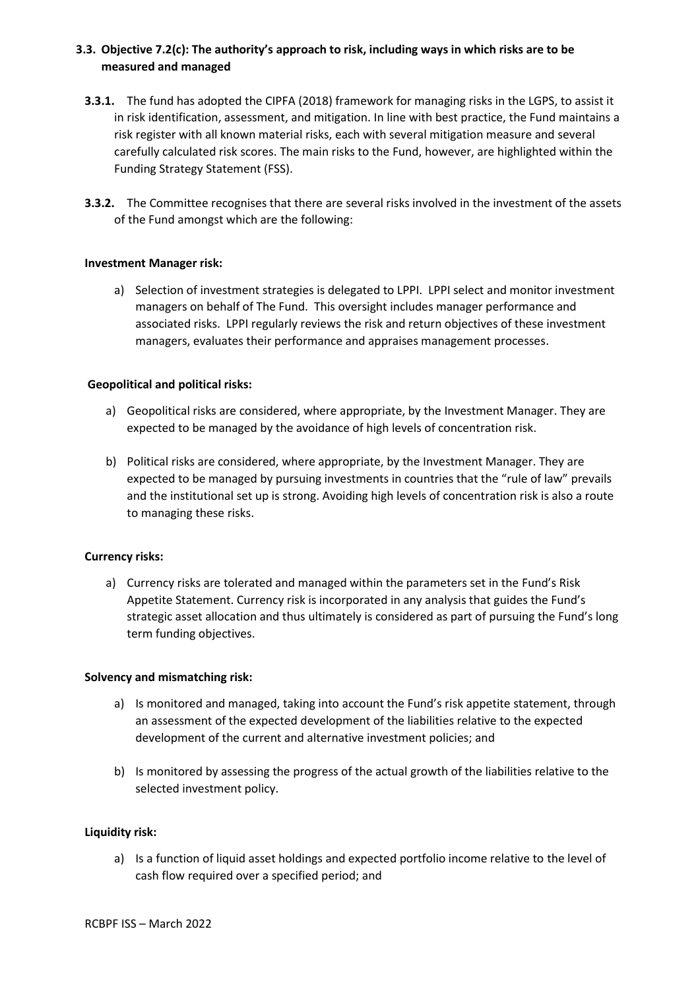## **3.3. Objective 7.2(c): The authority's approach to risk, including ways in which risks are to be measured and managed**

- **3.3.1.** The fund has adopted the CIPFA (2018) framework for managing risks in the LGPS, to assist it in risk identification, assessment, and mitigation. In line with best practice, the Fund maintains a risk register with all known material risks, each with several mitigation measure and several carefully calculated risk scores. The main risks to the Fund, however, are highlighted within the Funding Strategy Statement (FSS).
- **3.3.2.** The Committee recognises that there are several risks involved in the investment of the assets of the Fund amongst which are the following:

#### **Investment Manager risk:**

a) Selection of investment strategies is delegated to LPPI. LPPI select and monitor investment managers on behalf of The Fund. This oversight includes manager performance and associated risks. LPPI regularly reviews the risk and return objectives of these investment managers, evaluates their performance and appraises management processes.

#### **Geopolitical and political risks:**

- a) Geopolitical risks are considered, where appropriate, by the Investment Manager. They are expected to be managed by the avoidance of high levels of concentration risk.
- b) Political risks are considered, where appropriate, by the Investment Manager. They are expected to be managed by pursuing investments in countries that the "rule of law" prevails and the institutional set up is strong. Avoiding high levels of concentration risk is also a route to managing these risks.

#### **Currency risks:**

a) Currency risks are tolerated and managed within the parameters set in the Fund's Risk Appetite Statement. Currency risk is incorporated in any analysis that guides the Fund's strategic asset allocation and thus ultimately is considered as part of pursuing the Fund's long term funding objectives.

#### **Solvency and mismatching risk:**

- a) Is monitored and managed, taking into account the Fund's risk appetite statement, through an assessment of the expected development of the liabilities relative to the expected development of the current and alternative investment policies; and
- b) Is monitored by assessing the progress of the actual growth of the liabilities relative to the selected investment policy.

#### **Liquidity risk:**

a) Is a function of liquid asset holdings and expected portfolio income relative to the level of cash flow required over a specified period; and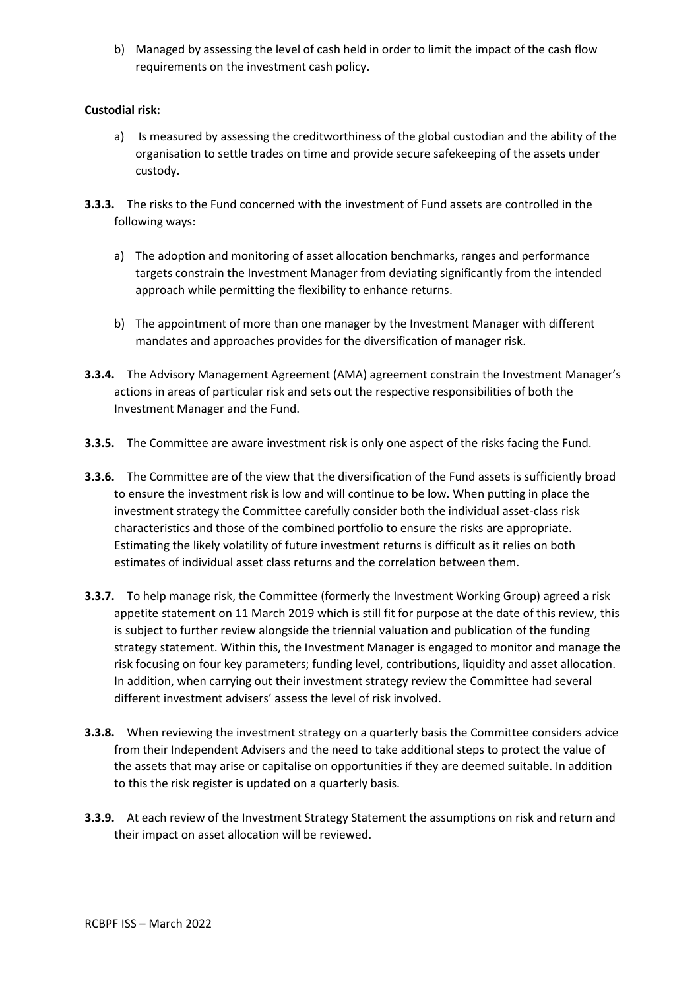b) Managed by assessing the level of cash held in order to limit the impact of the cash flow requirements on the investment cash policy.

## **Custodial risk:**

- a) Is measured by assessing the creditworthiness of the global custodian and the ability of the organisation to settle trades on time and provide secure safekeeping of the assets under custody.
- **3.3.3.** The risks to the Fund concerned with the investment of Fund assets are controlled in the following ways:
	- a) The adoption and monitoring of asset allocation benchmarks, ranges and performance targets constrain the Investment Manager from deviating significantly from the intended approach while permitting the flexibility to enhance returns.
	- b) The appointment of more than one manager by the Investment Manager with different mandates and approaches provides for the diversification of manager risk.
- **3.3.4.** The Advisory Management Agreement (AMA) agreement constrain the Investment Manager's actions in areas of particular risk and sets out the respective responsibilities of both the Investment Manager and the Fund.
- **3.3.5.** The Committee are aware investment risk is only one aspect of the risks facing the Fund.
- **3.3.6.** The Committee are of the view that the diversification of the Fund assets is sufficiently broad to ensure the investment risk is low and will continue to be low. When putting in place the investment strategy the Committee carefully consider both the individual asset-class risk characteristics and those of the combined portfolio to ensure the risks are appropriate. Estimating the likely volatility of future investment returns is difficult as it relies on both estimates of individual asset class returns and the correlation between them.
- **3.3.7.** To help manage risk, the Committee (formerly the Investment Working Group) agreed a risk appetite statement on 11 March 2019 which is still fit for purpose at the date of this review, this is subject to further review alongside the triennial valuation and publication of the funding strategy statement. Within this, the Investment Manager is engaged to monitor and manage the risk focusing on four key parameters; funding level, contributions, liquidity and asset allocation. In addition, when carrying out their investment strategy review the Committee had several different investment advisers' assess the level of risk involved.
- **3.3.8.** When reviewing the investment strategy on a quarterly basis the Committee considers advice from their Independent Advisers and the need to take additional steps to protect the value of the assets that may arise or capitalise on opportunities if they are deemed suitable. In addition to this the risk register is updated on a quarterly basis.
- **3.3.9.** At each review of the Investment Strategy Statement the assumptions on risk and return and their impact on asset allocation will be reviewed.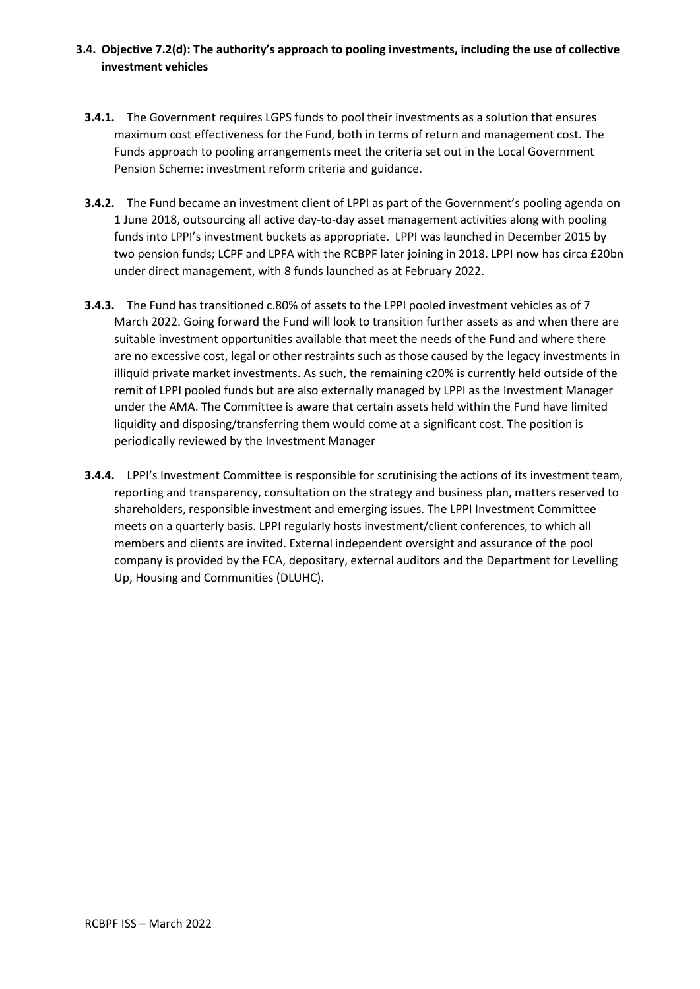## **3.4. Objective 7.2(d): The authority's approach to pooling investments, including the use of collective investment vehicles**

- **3.4.1.** The Government requires LGPS funds to pool their investments as a solution that ensures maximum cost effectiveness for the Fund, both in terms of return and management cost. The Funds approach to pooling arrangements meet the criteria set out in the Local Government Pension Scheme: investment reform criteria and guidance.
- **3.4.2.** The Fund became an investment client of LPPI as part of the Government's pooling agenda on 1 June 2018, outsourcing all active day-to-day asset management activities along with pooling funds into LPPI's investment buckets as appropriate. LPPI was launched in December 2015 by two pension funds; LCPF and LPFA with the RCBPF later joining in 2018. LPPI now has circa £20bn under direct management, with 8 funds launched as at February 2022.
- **3.4.3.** The Fund has transitioned c.80% of assets to the LPPI pooled investment vehicles as of 7 March 2022. Going forward the Fund will look to transition further assets as and when there are suitable investment opportunities available that meet the needs of the Fund and where there are no excessive cost, legal or other restraints such as those caused by the legacy investments in illiquid private market investments. As such, the remaining c20% is currently held outside of the remit of LPPI pooled funds but are also externally managed by LPPI as the Investment Manager under the AMA. The Committee is aware that certain assets held within the Fund have limited liquidity and disposing/transferring them would come at a significant cost. The position is periodically reviewed by the Investment Manager
- **3.4.4.** LPPI's Investment Committee is responsible for scrutinising the actions of its investment team, reporting and transparency, consultation on the strategy and business plan, matters reserved to shareholders, responsible investment and emerging issues. The LPPI Investment Committee meets on a quarterly basis. LPPI regularly hosts investment/client conferences, to which all members and clients are invited. External independent oversight and assurance of the pool company is provided by the FCA, depositary, external auditors and the Department for Levelling Up, Housing and Communities (DLUHC).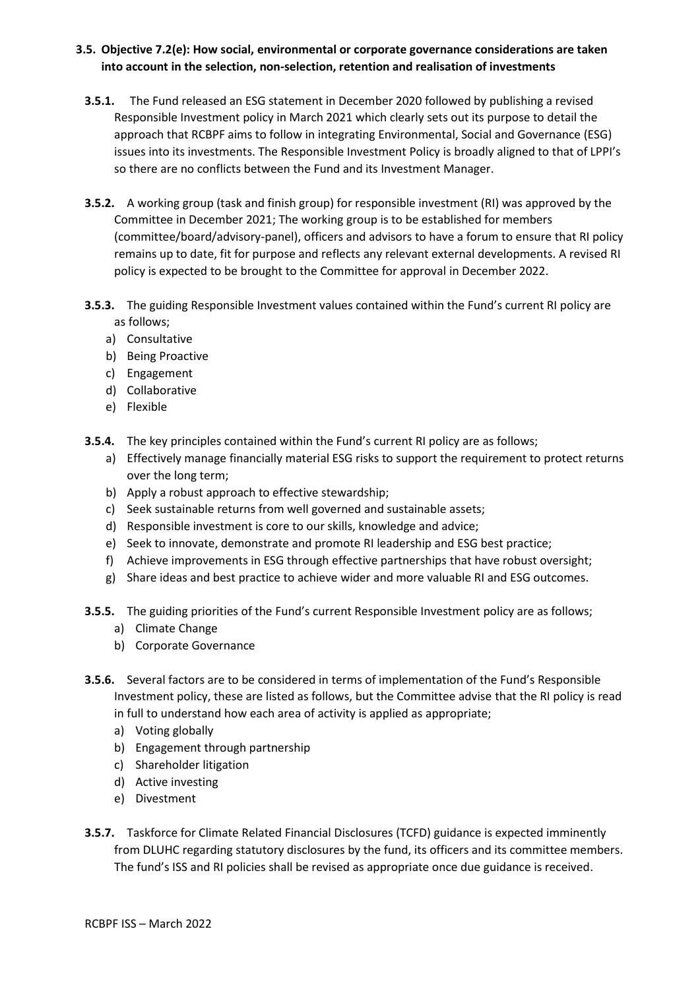## **3.5. Objective 7.2(e): How social, environmental or corporate governance considerations are taken into account in the selection, non-selection, retention and realisation of investments**

- **3.5.1.** The Fund released an ESG statement in December 2020 followed by publishing a revised Responsible Investment policy in March 2021 which clearly sets out its purpose to detail the approach that RCBPF aims to follow in integrating Environmental, Social and Governance (ESG) issues into its investments. The Responsible Investment Policy is broadly aligned to that of LPPI's so there are no conflicts between the Fund and its Investment Manager.
- **3.5.2.** A working group (task and finish group) for responsible investment (RI) was approved by the Committee in December 2021; The working group is to be established for members (committee/board/advisory-panel), officers and advisors to have a forum to ensure that RI policy remains up to date, fit for purpose and reflects any relevant external developments. A revised RI policy is expected to be brought to the Committee for approval in December 2022.
- **3.5.3.** The guiding Responsible Investment values contained within the Fund's current RI policy are as follows;
	- a) Consultative
	- b) Being Proactive
	- c) Engagement
	- d) Collaborative
	- e) Flexible
- **3.5.4.** The key principles contained within the Fund's current RI policy are as follows;
	- a) Effectively manage financially material ESG risks to support the requirement to protect returns over the long term;
	- b) Apply a robust approach to effective stewardship;
	- c) Seek sustainable returns from well governed and sustainable assets;
	- d) Responsible investment is core to our skills, knowledge and advice;
	- e) Seek to innovate, demonstrate and promote RI leadership and ESG best practice;
	- f) Achieve improvements in ESG through effective partnerships that have robust oversight;
	- g) Share ideas and best practice to achieve wider and more valuable RI and ESG outcomes.
- **3.5.5.** The guiding priorities of the Fund's current Responsible Investment policy are as follows;
	- a) Climate Change
	- b) Corporate Governance
- **3.5.6.** Several factors are to be considered in terms of implementation of the Fund's Responsible Investment policy, these are listed as follows, but the Committee advise that the RI policy is read in full to understand how each area of activity is applied as appropriate;
	- a) Voting globally
	- b) Engagement through partnership
	- c) Shareholder litigation
	- d) Active investing
	- e) Divestment
- **3.5.7.** Taskforce for Climate Related Financial Disclosures (TCFD) guidance is expected imminently from DLUHC regarding statutory disclosures by the fund, its officers and its committee members. The fund's ISS and RI policies shall be revised as appropriate once due guidance is received.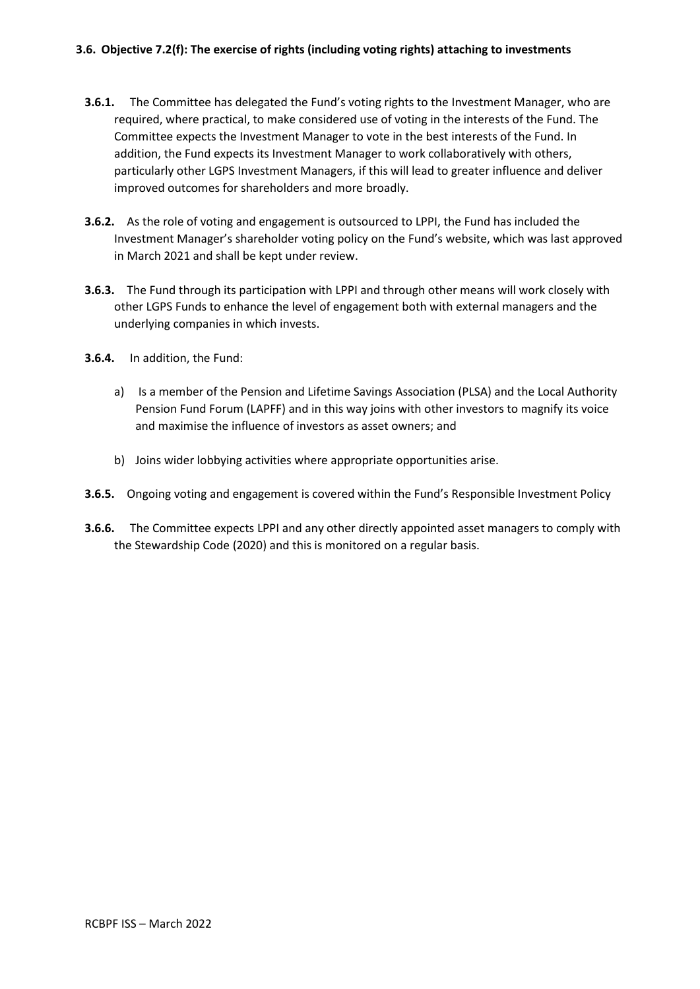### **3.6. Objective 7.2(f): The exercise of rights (including voting rights) attaching to investments**

- **3.6.1.** The Committee has delegated the Fund's voting rights to the Investment Manager, who are required, where practical, to make considered use of voting in the interests of the Fund. The Committee expects the Investment Manager to vote in the best interests of the Fund. In addition, the Fund expects its Investment Manager to work collaboratively with others, particularly other LGPS Investment Managers, if this will lead to greater influence and deliver improved outcomes for shareholders and more broadly.
- **3.6.2.** As the role of voting and engagement is outsourced to LPPI, the Fund has included the Investment Manager's shareholder voting policy on the Fund's website, which was last approved in March 2021 and shall be kept under review.
- **3.6.3.** The Fund through its participation with LPPI and through other means will work closely with other LGPS Funds to enhance the level of engagement both with external managers and the underlying companies in which invests.
- **3.6.4.** In addition, the Fund:
	- a) Is a member of the Pension and Lifetime Savings Association (PLSA) and the Local Authority Pension Fund Forum (LAPFF) and in this way joins with other investors to magnify its voice and maximise the influence of investors as asset owners; and
	- b) Joins wider lobbying activities where appropriate opportunities arise.
- **3.6.5.** Ongoing voting and engagement is covered within the Fund's Responsible Investment Policy
- **3.6.6.** The Committee expects LPPI and any other directly appointed asset managers to comply with the Stewardship Code (2020) and this is monitored on a regular basis.